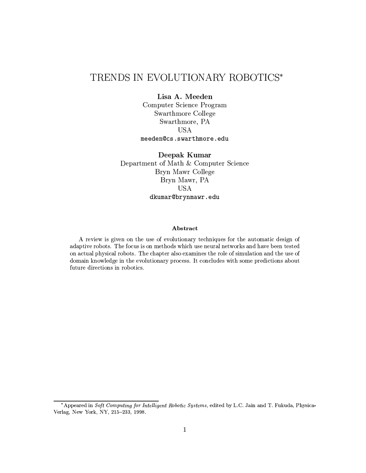# TRENDS IN EVOLUTIONARY ROBOTICS\*

Lisa A. Meeden

Computer Science Program Swarthmore College Swarthmore, PA **USA** meeden@cs.swarthmore.edu

Deepak Kumar Department of Math & Computer Science Bryn Mawr College Bryn Mawr, PA **USA** dkumar@brynmawr.edu

### Abstract

A review is given on the use of evolutionary techniques for the automatic design of adaptive robots. The focus is on methods which use neural networks and have been tested on actual physical robots. The chapter also examines the role of simulation and the use of domain knowledge in the evolutionary process. It concludes with some predictions about future directions in robotics.

<sup>\*</sup>Appeared in Soft Computing for Intelligent Robotic Systems, edited by L.C. Jain and T. Fukuda, Physica-Verlag, New York, NY, 215-233, 1998.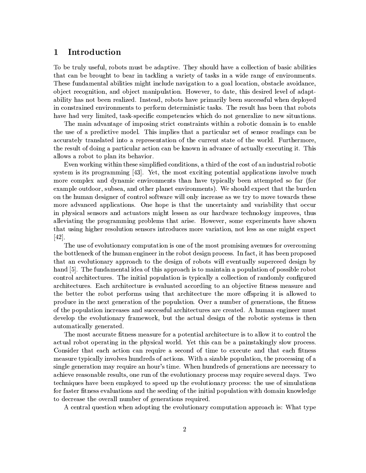#### $\mathbf{1}$ Introduction

To be truly useful, robots must be adaptive. They should have a collection of basic abilities that can be brought to bear in tackling a variety of tasks in a wide range of environments. These fundamental abilities might include navigation to a goal location, obstacle avoidance, object recognition, and object manipulation. However, to date, this desired level of adaptability has not been realized. Instead, robots have primarily been successful when deployed in constrained environments to perform deterministic tasks. The result has been that robots have had very limited, task-specific competencies which do not generalize to new situations.

The main advantage of imposing strict constraints within a robotic domain is to enable the use of a predictive model. This implies that a particular set of sensor readings can be accurately translated into a representation of the current state of the world. Furthermore, the result of doing a particular action can be known in advance of actually executing it. This allows a robot to plan its behavior.

Even working within these simplified conditions, a third of the cost of an industrial robotic system is its programming [43]. Yet, the most exciting potential applications involve much more complex and dynamic environments than have typically been attempted so far (for example outdoor, subsea, and other planet environments). We should expect that the burden on the human designer of control software will only increase as we try to move towards these more advanced applications. One hope is that the uncertainty and variability that occur in physical sensors and actuators might lessen as our hardware technology improves, thus alleviating the programming problems that arise. However, some experiments have shown that using higher resolution sensors introduces more variation, not less as one might expect  $[42]$ .

The use of evolutionary computation is one of the most promising avenues for overcoming the bottleneck of the human engineer in the robot design process. In fact, it has been proposed that an evolutionary approach to the design of robots will eventually superceed design by hand [5]. The fundamental idea of this approach is to maintain a population of possible robot control architectures. The initial population is typically a collection of randomly configured architectures. Each architecture is evaluated according to an objective fitness measure and the better the robot performs using that architecture the more offspring it is allowed to produce in the next generation of the population. Over a number of generations, the fitness of the population increases and successful architectures are created. A human engineer must develop the evolutionary framework, but the actual design of the robotic systems is then automatically generated.

The most accurate fitness measure for a potential architecture is to allow it to control the actual robot operating in the physical world. Yet this can be a painstakingly slow process. Consider that each action can require a second of time to execute and that each fitness measure typically involves hundreds of actions. With a sizable population, the processing of a single generation may require an hour's time. When hundreds of generations are necessary to achieve reasonable results, one run of the evolutionary process may require several days. Two techniques have been employed to speed up the evolutionary process: the use of simulations for faster fitness evaluations and the seeding of the initial population with domain knowledge to decrease the overall number of generations required.

A central question when adopting the evolutionary computation approach is: What type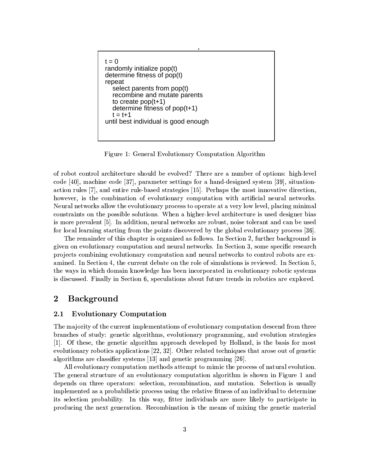\n
$$
t = 0
$$
  
\n randomly initialize pop(t)  
\n determine fitness of pop(t)  
\n repeat  
\n select parents from pop(t)  
\n recombine and mutate parents  
\n to create pop(t+1)  
\n determine fitness of pop(t+1)  
\n $t = t+1$   
\n until best individual is good enough\n

Figure 1: General Evolutionary Computation Algorithm

. The set of the set of the set of the set of the set of the set of the set of the set of the set of the set of the set of the set of the set of the set of the set of the set of the set of the set of the set of the set of ,- - / ,. / 

 % 

 ,. / % action rules  $[7]$ , and entire rule-based strategies  $[15]$ . Perhaps the most innovative direction, however, is the combination of evolutionary computation with artificial neural networks. Neural networks allow the evolutionary process to operate at a very low level, placing minimal constraints on the possible solutions. When a higher-level architecture is used designer bias is more prevalent  $[5]$ . In addition, neural networks are robust, noise tolerant and can be used for local learning starting from the points discovered by the global evolutionary process [36].

The remainder of this chapter is organized as follows. In Section 2, further background is given on evolutionary computation and neural networks. In Section 3, some specific research projects combining evolutionary computation and neural networks to control robots are examined. In Section 4, the current debate on the role of simulations is reviewed. In Section 5, the ways in which domain knowledge has been incorporated in evolutionary robotic systems is discussed. Finally in Section  $6$ , speculations about future trends in robotics are explored.

## -

### 2.1 Evolutionary Computation

 # 

branches of study: genetic algorithms, evolutionary programming, and evolution strategies  $[1]$ . Of these, the genetic algorithm approach developed by Holland, is the basis for most evolutionary robotics applications  $[22, 32]$ . Other related techniques that arose out of genetic algorithms are classifier systems  $[13]$  and genetic programming  $[26]$ .

All evolutionary computation methods attempt to mimic the process of natural evolution. 

 " ) depends on three operators: selection, recombination, and mutation. Selection is usually implemented as a probabilistic process using the relative fitness of an individual to determine its selection probability. In this way, fitter individuals are more likely to participate in producing the next generation. Recombination is the means of mixing the genetic material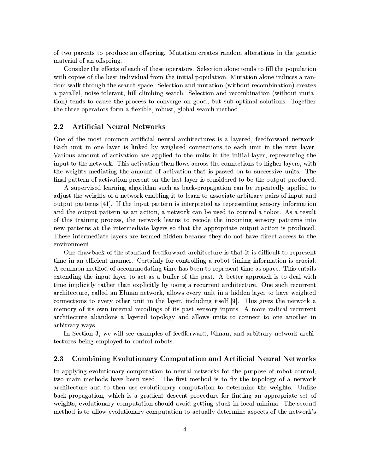of two parents to produce an offspring. Mutation creates random alterations in the genetic material of an offspring.

Consider the effects of each of these operators. Selection alone tends to fill the population with copies of the best individual from the initial population. Mutation alone induces a random walk through the search space. Selection and mutation (without recombination) creates a parallel, noise-tolerant, hill-climbing search. Selection and recombination (without mutation) tends to cause the process to converge on good, but sub-optimal solutions. Together the three operators form a flexible, robust, global search method.

#### $2.2$ **Artificial Neural Networks**

One of the most common artificial neural architectures is a layered, feedforward network. Each unit in one layer is linked by weighted connections to each unit in the next layer. Various amount of activation are applied to the units in the initial layer, representing the input to the network. This activation then flows across the connections to higher layers, with the weights mediating the amount of activation that is passed on to successive units. The final pattern of activation present on the last layer is considered to be the output produced.

A supervised learning algorithm such as back-propagation can be repeatedly applied to adjust the weights of a network enabling it to learn to associate arbitrary pairs of input and output patterns [41]. If the input pattern is interpreted as representing sensory information and the output pattern as an action, a network can be used to control a robot. As a result of this training process, the network learns to recode the incoming sensory patterns into new patterns at the intermediate layers so that the appropriate output action is produced. These intermediate layers are termed hidden because they do not have direct access to the environment.

One drawback of the standard feedforward architecture is that it is difficult to represent time in an efficient manner. Certainly for controlling a robot timing information is crucial. A common method of accommodating time has been to represent time as space. This entails extending the input layer to act as a buffer of the past. A better approach is to deal with time implicitly rather than explicitly by using a recurrent architecture. One such recurrent architecture, called an Elman network, allows every unit in a hidden layer to have weighted connections to every other unit in the layer, including itself [9]. This gives the network a memory of its own internal recodings of its past sensory inputs. A more radical recurrent architecture abandons a layered topology and allows units to connect to one another in arbitrary ways.

In Section 3, we will see examples of feedforward, Elman, and arbitrary network architectures being employed to control robots.

#### 2.3 **Combining Evolutionary Computation and Artificial Neural Networks**

In applying evolutionary computation to neural networks for the purpose of robot control, two main methods have been used. The first method is to fix the topology of a network architecture and to then use evolutionary computation to determine the weights. Unlike back-propagation, which is a gradient descent procedure for finding an appropriate set of weights, evolutionary computation should avoid getting stuck in local minima. The second method is to allow evolutionary computation to actually determine aspects of the network's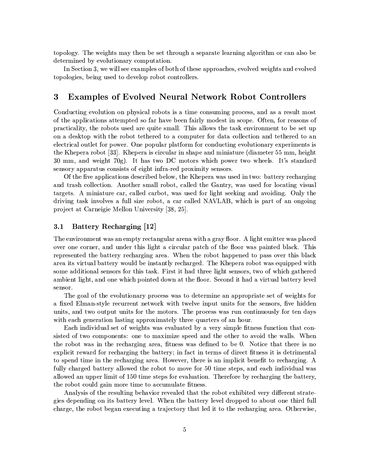topology. The weights may then be set through a separate learning algorithm or can also be determined by evolutionary computation.

In Section 3, we will see examples of both of these approaches, evolved weights and evolved topologies, being used to develop robot controllers.

#### 3 **Examples of Evolved Neural Network Robot Controllers**

Conducting evolution on physical robots is a time consuming process, and as a result most of the applications attempted so far have been fairly modest in scope. Often, for reasons of practicality, the robots used are quite small. This allows the task environment to be set up on a desktop with the robot tethered to a computer for data collection and tethered to an electrical outlet for power. One popular platform for conducting evolutionary experiments is the Khepera robot [33]. Khepera is circular in shape and miniature (diameter 55 mm, height 30 mm, and weight 70g). It has two DC motors which power two wheels. It's standard sensory apparatus consists of eight infra-red proximity sensors.

Of the five applications described below, the Khepera was used in two: battery recharging and trash collection. Another small robot, called the Gantry, was used for locating visual targets. A miniature car, called carbot, was used for light seeking and avoiding. Only the driving task involves a full size robot, a car called NAVLAB, which is part of an ongoing project at Carneigie Mellon University [38, 25].

#### $3.1$ Battery Recharging [12]

The environment was an empty rectangular arena with a gray floor. A light emitter was placed over one corner, and under this light a circular patch of the floor was painted black. This represented the battery recharging area. When the robot happened to pass over this black area its virtual battery would be instantly recharged. The Khepera robot was equipped with some additional sensors for this task. First it had three light sensors, two of which gathered ambient light, and one which pointed down at the floor. Second it had a virtual battery level sensor.

The goal of the evolutionary process was to determine an appropriate set of weights for a fixed Elman-style recurrent network with twelve input units for the sensors, five hidden units, and two output units for the motors. The process was run continuously for ten days with each generation lasting approximately three quarters of an hour.

Each individual set of weights was evaluated by a very simple fitness function that consisted of two components: one to maximize speed and the other to avoid the walls. When the robot was in the recharging area, fitness was defined to be 0. Notice that there is no explicit reward for recharging the battery; in fact in terms of direct fitness it is detrimental to spend time in the recharging area. However, there is an implicit benefit to recharging. A fully charged battery allowed the robot to move for 50 time steps, and each individual was allowed an upper limit of 150 time steps for evaluation. Therefore by recharging the battery, the robot could gain more time to accumulate fitness.

Analysis of the resulting behavior revealed that the robot exhibited very different strategies depending on its battery level. When the battery level dropped to about one third full charge, the robot began executing a trajectory that led it to the recharging area. Otherwise,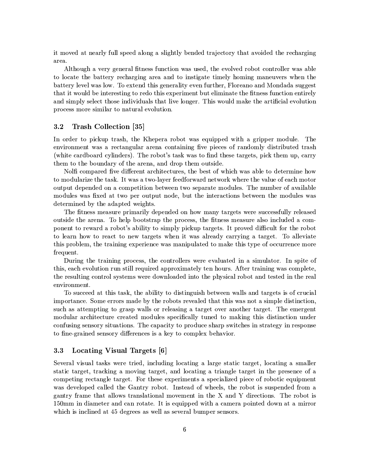it moved at nearly full speed along a slightly bended trajectory that avoided the recharging area.

Although a very general fitness function was used, the evolved robot controller was able to locate the battery recharging area and to instigate timely homing maneuvers when the battery level was low. To extend this generality even further, Floreano and Mondada suggest that it would be interesting to redo this experiment but eliminate the fitness function entirely and simply select those individuals that live longer. This would make the artificial evolution process more similar to natural evolution.

#### $3.2$ Trash Collection [35]

In order to pickup trash, the Khepera robot was equipped with a gripper module. The environment was a rectangular arena containing five pieces of randomly distributed trash (white cardboard cylinders). The robot's task was to find these targets, pick them up, carry them to the boundary of the arena, and drop them outside.

Nolfi compared five different architectures, the best of which was able to determine how to modularize the task. It was a two-layer feedforward network where the value of each motor output depended on a competition between two separate modules. The number of available modules was fixed at two per output node, but the interactions between the modules was determined by the adapted weights.

The fitness measure primarily depended on how many targets were successfully released outside the arena. To help bootstrap the process, the fitness measure also included a component to reward a robot's ability to simply pickup targets. It proved difficult for the robot to learn how to react to new targets when it was already carrying a target. To alleviate this problem, the training experience was manipulated to make this type of occurrence more frequent.

During the training process, the controllers were evaluated in a simulator. In spite of this, each evolution run still required approximately ten hours. After training was complete, the resulting control systems were downloaded into the physical robot and tested in the real environment.

To succeed at this task, the ability to distinguish between walls and targets is of crucial importance. Some errors made by the robots revealed that this was not a simple distinction, such as attempting to grasp walls or releasing a target over another target. The emergent modular architecture created modules specifically tuned to making this distinction under confusing sensory situations. The capacity to produce sharp switches in strategy in response to fine-grained sensory differences is a key to complex behavior.

#### $3.3$ Locating Visual Targets [6]

Several visual tasks were tried, including locating a large static target, locating a smaller static target, tracking a moving target, and locating a triangle target in the presence of a competing rectangle target. For these experiments a specialized piece of robotic equipment was developed called the Gantry robot. Instead of wheels, the robot is suspended from a gantry frame that allows translational movement in the X and Y directions. The robot is 150mm in diameter and can rotate. It is equipped with a camera pointed down at a mirror which is inclined at 45 degrees as well as several bumper sensors.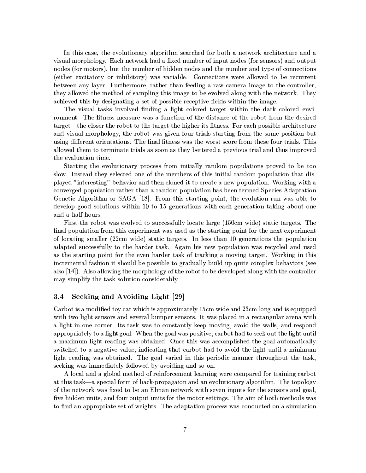In this case, the evolutionary algorithm searched for both a network architecture and a visual morphology. Each network had a fixed number of input nodes (for sensors) and output nodes (for motors), but the number of hidden nodes and the number and type of connections (either excitatory or inhibitory) was variable. Connections were allowed to be recurrent between any layer. Furthermore, rather than feeding a raw camera image to the controller, they allowed the method of sampling this image to be evolved along with the network. They achieved this by designating a set of possible receptive fields within the image.

The visual tasks involved finding a light colored target within the dark colored environment. The fitness measure was a function of the distance of the robot from the desired target—the closer the robot to the target the higher its fitness. For each possible architecture and visual morphology, the robot was given four trials starting from the same position but using different orientations. The final fitness was the worst score from these four trials. This allowed them to terminate trials as soon as they bettered a previous trial and thus improved the evaluation time.

Starting the evolutionary process from initially random populations proved to be too slow. Instead they selected one of the members of this initial random population that displayed "interesting" behavior and then cloned it to create a new population. Working with a converged population rather than a random population has been termed Species Adaptation Genetic Algorithm or SAGA [18]. From this starting point, the evolution run was able to develop good solutions within 10 to 15 generations with each generation taking about one and a half hours.

First the robot was evolved to successfully locate large (150cm wide) static targets. The final population from this experiment was used as the starting point for the next experiment of locating smaller (22cm wide) static targets. In less than 10 generations the population adapted successfully to the harder task. Again his new population was recycled and used as the starting point for the even harder task of tracking a moving target. Working in this incremental fashion it should be possible to gradually build up quite complex behaviors (see also [14]). Also allowing the morphology of the robot to be developed along with the controller may simplify the task solution considerably.

#### $3.4$ Seeking and Avoiding Light [29]

Carbot is a modified toy car which is approximately 15cm wide and 23cm long and is equipped with two light sensors and several bumper sensors. It was placed in a rectangular arena with a light in one corner. Its task was to constantly keep moving, avoid the walls, and respond appropriately to a light goal. When the goal was positive, carbot had to seek out the light until a maximum light reading was obtained. Once this was accomplished the goal automatically switched to a negative value, indicating that carbot had to avoid the light until a minimum light reading was obtained. The goal varied in this periodic manner throughout the task, seeking was immediately followed by avoiding and so on.

A local and a global method of reinforcement learning were compared for training carbot at this task—a special form of back-propagaion and an evolutionary algorithm. The topology of the network was fixed to be an Elman network with seven inputs for the sensors and goal, five hidden units, and four output units for the motor settings. The aim of both methods was to find an appropriate set of weights. The adaptation process was conducted on a simulation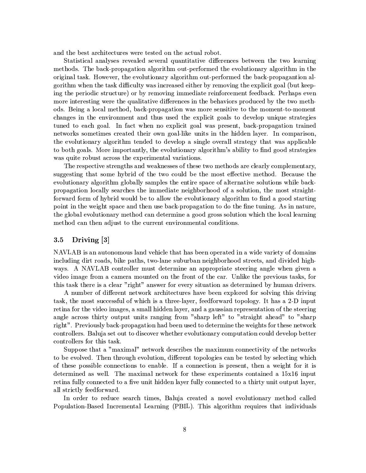and the best architectures were tested on the actual robot.

Statistical analyses revealed several quantitative differences between the two learning methods. The back-propagation algorithm out-performed the evolutionary algorithm in the original task. However, the evolutionary algorithm out-performed the back-propagantion algorithm when the task difficulty was increased either by removing the explicit goal (but keeping the periodic structure) or by removing immediate reinforcement feedback. Perhaps even more interesting were the qualitative differences in the behaviors produced by the two methods. Being a local method, back-propagation was more sensitive to the moment-to-moment changes in the environment and thus used the explicit goals to develop unique strategies tuned to each goal. In fact when no explicit goal was present, back-propagation trained networks sometimes created their own goal-like units in the hidden layer. In comparison, the evolutionary algorithm tended to develop a single overall strategy that was applicable to both goals. More importantly, the evolutionary algorithm's ability to find good strategies was quite robust across the experimental variations.

The respective strengths and weaknesses of these two methods are clearly complementary, suggesting that some hybrid of the two could be the most effective method. Because the evolutionary algorithm globally samples the entire space of alternative solutions while backpropagation locally searches the immediate neighborhood of a solution, the most straightforward form of hybrid would be to allow the evolutionary algorithm to find a good starting point in the weight space and then use back-propagation to do the fine tuning. As in nature, the global evolutionary method can determine a good gross solution which the local learning method can then adjust to the current environmental conditions.

#### $3.5$ Driving  $[3]$

NAVLAB is an autonomous land vehicle that has been operated in a wide variety of domains including dirt roads, bike paths, two-lane suburban neighborhood streets, and divided highways. A NAVLAB controller must determine an appropriate steering angle when given a video image from a camera mounted on the front of the car. Unlike the previous tasks, for this task there is a clear "right" answer for every situation as determined by human drivers.

A number of different network architectures have been explored for solving this driving task, the most successful of which is a three-layer, feedforward topology. It has a 2-D input retina for the video images, a small hidden layer, and a gaussian representation of the steering angle across thirty output units ranging from "sharp left" to "straight ahead" to "sharp right". Previously back-propagation had been used to determine the weights for these network controllers. Baluja set out to discover whether evolutionary computation could develop better controllers for this task.

Suppose that a "maximal" network describes the maximum connectivity of the networks to be evolved. Then through evolution, different topologies can be tested by selecting which of these possible connections to enable. If a connection is present, then a weight for it is determined as well. The maximal network for these experiments contained a 15x16 input retina fully connected to a five unit hidden layer fully connected to a thirty unit output layer, all strictly feedforward.

In order to reduce search times, Baluja created a novel evolutionary method called Population-Based Incremental Learning (PBIL). This algorithm requires that individuals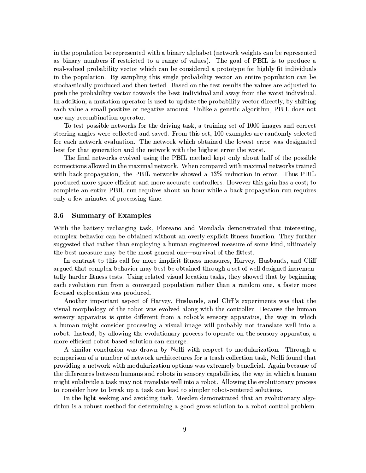in the population be represented with a binary alphabet (network weights can be represented as binary numbers if restricted to a range of values). The goal of PBIL is to produce a real-valued probability vector which can be considered a prototype for highly fit individuals in the population. By sampling this single probability vector an entire population can be stochastically produced and then tested. Based on the test results the values are adjusted to push the probability vector towards the best individual and away from the worst individual. In addition, a mutation operator is used to update the probability vector directly, by shifting each value a small positive or negative amount. Unlike a genetic algorithm, PBIL does not use any recombination operator.

To test possible networks for the driving task, a training set of 1000 images and correct steering angles were collected and saved. From this set, 100 examples are randomly selected for each network evaluation. The network which obtained the lowest error was designated best for that generation and the network with the highest error the worst.

The final networks evolved using the PBIL method kept only about half of the possible connections allowed in the maximal network. When compared with maximal networks trained with back-propagation, the PBIL networks showed a 13% reduction in error. Thus PBIL produced more space efficient and more accurate controllers. However this gain has a cost; to complete an entire PBIL run requires about an hour while a back-propagation run requires only a few minutes of processing time.

#### $3.6$ **Summary of Examples**

With the battery recharging task, Floreano and Mondada demonstrated that interesting, complex behavior can be obtained without an overly explicit fitness function. They further suggested that rather than employing a human engineered measure of some kind, ultimately the best measure may be the most general one—survival of the fittest.

In contrast to this call for more implicit fitness measures, Harvey, Husbands, and Cliff argued that complex behavior may best be obtained through a set of well designed incrementally harder fitness tests. Using related visual location tasks, they showed that by beginning each evolution run from a converged population rather than a random one, a faster more focused exploration was produced.

Another important aspect of Harvey, Husbands, and Cliff's experiments was that the visual morphology of the robot was evolved along with the controller. Because the human sensory apparatus is quite different from a robot's sensory apparatus, the way in which a human might consider processing a visual image will probably not translate well into a robot. Instead, by allowing the evolutionary process to operate on the sensory apparatus, a more efficient robot-based solution can emerge.

A similar conclusion was drawn by Nolfi with respect to modularization. Through a comparison of a number of network architectures for a trash collection task, Nolfi found that providing a network with modularization options was extremely beneficial. Again because of the differences between humans and robots in sensory capabilities, the way in which a human might subdivide a task may not translate well into a robot. Allowing the evolutionary process to consider how to break up a task can lead to simpler robot-centered solutions.

In the light seeking and avoiding task, Meeden demonstrated that an evolutionary algorithm is a robust method for determining a good gross solution to a robot control problem.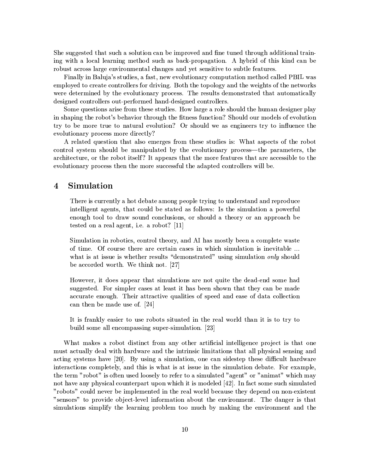She suggested that such a solution can be improved and fine tuned through additional training with a local learning method such as back-propagation. A hybrid of this kind can be robust across large environmental changes and yet sensitive to subtle features.

Finally in Baluja's studies, a fast, new evolutionary computation method called PBIL was employed to create controllers for driving. Both the topology and the weights of the networks were determined by the evolutionary process. The results demonstrated that automatically designed controllers out-performed hand-designed controllers.

Some questions arise from these studies. How large a role should the human designer play in shaping the robot's behavior through the fitness function? Should our models of evolution try to be more true to natural evolution? Or should we as engineers try to influence the evolutionary process more directly?

A related question that also emerges from these studies is: What aspects of the robot control system should be manipulated by the evolutionary process—the parameters, the architecture, or the robot itself? It appears that the more features that are accessible to the evolutionary process then the more successful the adapted controllers will be.

#### $\overline{\mathbf{4}}$ Simulation

There is currently a hot debate among people trying to understand and reproduce intelligent agents, that could be stated as follows: Is the simulation a powerful enough tool to draw sound conclusions, or should a theory or an approach be tested on a real agent, i.e. a robot?  $[11]$ 

Simulation in robotics, control theory, and AI has mostly been a complete waste of time. Of course there are certain cases in which simulation is inevitable ... what is at issue is whether results "demonstrated" using simulation *only* should be accorded worth. We think not. [27]

However, it does appear that simulations are not quite the dead-end some had suggested. For simpler cases at least it has been shown that they can be made accurate enough. Their attractive qualities of speed and ease of data collection can then be made use of. [24]

It is frankly easier to use robots situated in the real world than it is to try to build some all encompassing super-simulation. [23]

What makes a robot distinct from any other artificial intelligence project is that one must actually deal with hardware and the intrinsic limitations that all physical sensing and acting systems have [20]. By using a simulation, one can side these difficult hardware interactions completely, and this is what is at issue in the simulation debate. For example, the term "robot" is often used loosely to refer to a simulated "agent" or "animat" which may not have any physical counterpart upon which it is modeled [42]. In fact some such simulated "robots" could never be implemented in the real world because they depend on non-existent "sensors" to provide object-level information about the environment. The danger is that simulations simplify the learning problem too much by making the environment and the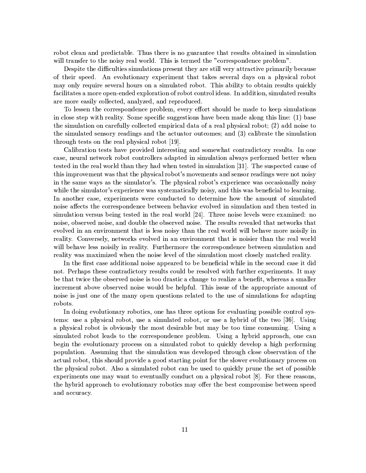robot clean and predictable. Thus there is no guarantee that results obtained in simulation will transfer to the noisy real world. This is termed the "correspondence problem".

Despite the difficulties simulations present they are still very attractive primarily because of their speed. An evolutionary experiment that takes several days on a physical robot may only require several hours on a simulated robot. This ability to obtain results quickly facilitates a more open-ended exploration of robot control ideas. In addition, simulated results are more easily collected, analyzed, and reproduced.

To lessen the correspondence problem, every effort should be made to keep simulations in close step with reality. Some specific suggestions have been made along this line: (1) base the simulation on carefully collected empirical data of a real physical robot; (2) add noise to the simulated sensory readings and the actuator outcomes; and (3) calibrate the simulation through tests on the real physical robot [19].

Calibration tests have provided interesting and somewhat contradictory results. In one case, neural network robot controllers adapted in simulation always performed better when tested in the real world than they had when tested in simulation [31]. The suspected cause of this improvement was that the physical robot's movements and sensor readings were not noisy in the same ways as the simulator's. The physical robot's experience was occasionally noisy while the simulator's experience was systematically noisy, and this was beneficial to learning. In another case, experiments were conducted to determine how the amount of simulated noise affects the correspondence between behavior evolved in simulation and then tested in simulation versus being tested in the real world [24]. Three noise levels were examined: no noise, observed noise, and double the observed noise. The results revealed that networks that evolved in an environment that is less noisy than the real world will behave more noisily in reality. Conversely, networks evolved in an environment that is noisier than the real world will behave less not illy in reality. Furthermore the correspondence between simulation and reality was maximized when the noise level of the simulation most closely matched reality.

In the first case additional noise appeared to be beneficial while in the second case it did not. Perhaps these contradictory results could be resolved with further experiments. It may be that twice the observed noise is too drastic a change to realize a benefit, whereas a smaller increment above observed noise would be helpful. This issue of the appropriate amount of noise is just one of the many open questions related to the use of simulations for adapting robots.

In doing evolutionary robotics, one has three options for evaluating possible control systems: use a physical robot, use a simulated robot, or use a hybrid of the two [36]. Using a physical robot is obviously the most desirable but may be too time consuming. Using a simulated robot leads to the correspondence problem. Using a hybrid approach, one can begin the evolutionary process on a simulated robot to quickly develop a high performing population. Assuming that the simulation was developed through close observation of the actual robot, this should provide a good starting point for the slower evolutionary process on the physical robot. Also a simulated robot can be used to quickly prune the set of possible experiments one may want to eventually conduct on a physical robot [8]. For these reasons, the hybrid approach to evolutionary robotics may offer the best compromise between speed and accuracy.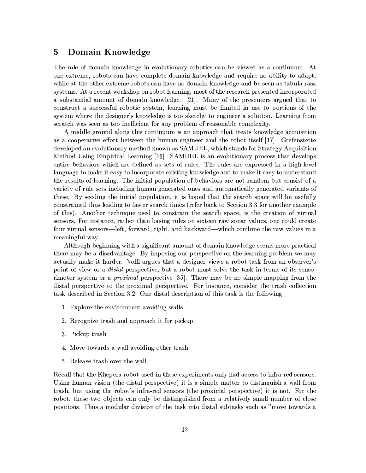#### Domain Knowledge  $\mathbf{5}$

The role of domain knowledge in evolutionary robotics can be viewed as a continuum. At one extreme, robots can have complete domain knowledge and require no ability to adapt, while at the other extreme robots can have no domain knowledge and be seen as tabula rasa systems. At a recent workshop on robot learning, most of the research presented incorporated a substantial amount of domain knowledge. [21]. Many of the presenters argued that to construct a successful robotic system, learning must be limited in use to portions of the system where the designer's knowledge is too sketchy to engineer a solution. Learning from scratch was seen as too inefficient for any problem of reasonable complexity.

A middle ground along this continuum is an approach that treats knowledge acquisition as a cooperative effort between the human engineer and the robot itself [17]. Grefenstette developed an evolutionary method known as SAMUEL, which stands for Strategy Acquisition Method Using Empirical Learning [16]. SAMUEL is an evolutionary process that develops entire behaviors which are defined as sets of rules. The rules are expressed in a high-level language to make it easy to incorporate existing knowledge and to make it easy to understand the results of learning. The initial population of behaviors are not random but consist of a variety of rule sets including human generated ones and automatically generated variants of these. By seeding the initial population, it is hoped that the search space will be usefully constrained thus leading to faster search times (refer back to Section 3.3 for another example of this). Another technique used to constrain the search space, is the creation of virtual sensors. For instance, rather than basing rules on sixteen raw sonar values, one could create four virtual sensors—left, forward, right, and backward—which combine the raw values in a meaningful way.

Although beginning with a significant amount of domain knowledge seems more practical there may be a disadvantage. By imposing our perspective on the learning problem we may actually make it harder. Nolfi argues that a designer views a robot task from an observer's point of view or a *distal* perspective, but a robot must solve the task in terms of its sensorimotor system or a *proximal* perspective [35]. There may be no simple mapping from the distal perspective to the proximal perspective. For instance, consider the trash collection task described in Section 3.2. One distal description of this task is the following:

- 1. Explore the environment avoiding walls.
- 2. Recognize trash and approach it for pickup.
- 3. Pickup trash.
- 4. Move towards a wall avoiding other trash.
- 5. Release trash over the wall.

Recall that the Khepera robot used in these experiments only had access to infra-red sensors. Using human vision (the distal perspective) it is a simple matter to distinguish a wall from trash, but using the robot's infra-red sensors (the proximal perspective) it is not. For the robot, these two objects can only be distinguished from a relatively small number of close positions. Thus a modular division of the task into distal subtasks such as "move towards a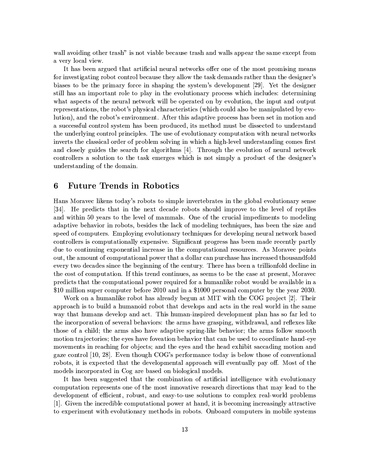wall avoiding other trash" is not viable because trash and walls appear the same except from a very local view.

It has been argued that artificial neural networks offer one of the most promising means for investigating robot control because they allow the task demands rather than the designer's biases to be the primary force in shaping the system's development [29]. Yet the designer still has an important role to play in the evolutionary process which includes: determining what aspects of the neural network will be operated on by evolution, the input and output representations, the robot's physical characteristics (which could also be manipulated by evolution), and the robot's environment. After this adaptive process has been set in motion and a successful control system has been produced, its method must be dissected to understand the underlying control principles. The use of evolutionary computation with neural networks inverts the classical order of problem solving in which a high-level understanding comes first and closely guides the search for algorithms [4]. Through the evolution of neural network controllers a solution to the task emerges which is not simply a product of the designer's understanding of the domain.

#### 6 **Future Trends in Robotics**

Hans Moravec likens today's robots to simple invertebrates in the global evolutionary sense [34]. He predicts that in the next decade robots should improve to the level of reptiles and within 50 years to the level of mammals. One of the crucial impediments to modeling adaptive behavior in robots, besides the lack of modeling techniques, has been the size and speed of computers. Employing evolutionary techniques for developing neural network based controllers is computationally expensive. Significant progress has been made recently partly due to continuing exponential increase in the computational resources. As Moravec points out, the amount of computational power that a dollar can purchase has increased thousandfold every two decades since the beginning of the century. There has been a trillionfold decline in the cost of computation. If this trend continues, as seems to be the case at present, Moravec predicts that the computational power required for a humanlike robot would be available in a \$10 million super computer before 2010 and in a \$1000 personal computer by the year 2030.

Work on a humanlike robot has already begun at MIT with the COG project [2]. Their approach is to build a humanoid robot that develops and acts in the real world in the same way that humans develop and act. This human-inspired development plan has so far led to the incorporation of several behaviors: the arms have grasping, withdrawal, and reflexes like those of a child; the arms also have adaptive spring-like behavior; the arms follow smooth motion trajectories; the eyes have foveation behavior that can be used to coordinate hand-eye movements in reaching for objects; and the eyes and the head exhibit saccading motion and gaze control [10, 28]. Even though COG's performance today is below those of conventional robots, it is expected that the developmental approach will eventually pay off. Most of the models incorporated in Cog are based on biological models.

It has been suggested that the combination of artificial intelligence with evolutionary computation represents one of the most innovative research directions that may lead to the development of efficient, robust, and easy-to-use solutions to complex real-world problems [1]. Given the incredible computational power at hand, it is becoming increasingly attractive to experiment with evolutionary methods in robots. Onboard computers in mobile systems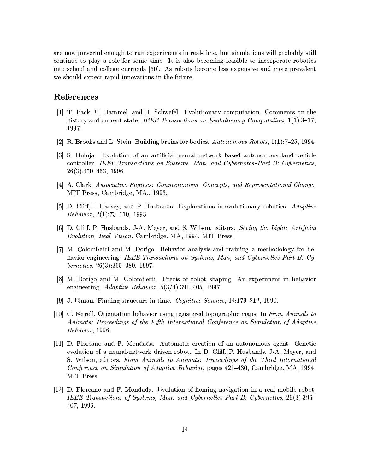are now powerful enough to run experiments in real-time, but simulations will probably still continue to play a role for some time. It is also becoming feasible to incorporate robotics into school and college curricula [30]. As robots become less expensive and more prevalent we should expect rapid innovations in the future.

## References

- [1] T. Back, U. Hammel, and H. Schwefel. Evolutionary computation: Comments on the history and current state. IEEE Transactions on Evolutionary Computation, 1(1):3-17, 1997.
- [2] R. Brooks and L. Stein. Building brains for bodies. Autonomous Robots,  $1(1)$ : 7-25, 1994.
- [3] S. Buluja. Evolution of an artificial neural network based autonomous land vehicle controller. IEEE Transactions on Systems, Man, and Cybernetcs-Part B: Cybernetics,  $26(3):450-463, 1996.$
- [4] A. Clark. Associative Engines: Connectionism, Concepts, and Representational Change. MIT Press, Cambridge, MA., 1993.
- [5] D. Cliff, I. Harvey, and P. Husbands. Explorations in evolutionary robotics. Adaptive *Behavior*,  $2(1):73-110$ , 1993.
- [6] D. Cliff, P. Husbands, J-A. Meyer, and S. Wilson, editors. Seeing the Light: Artificial Evolution, Real Vision, Cambridge, MA, 1994. MIT Press.
- [7] M. Colombetti and M. Dorigo. Behavior analysis and training-a methodology for behavior engineering. IEEE Transactions on Systems, Man, and Cybernetics-Part B: Cy $bernetics, 26(3):365-380, 1997.$
- [8] M. Dorigo and M. Colombetti. Precis of robot shaping: An experiment in behavior engineering. Adaptive Behavior,  $5(3/4):391-405$ , 1997.
- [9] J. Elman. Finding structure in time. *Cognitive Science*,  $14:179-212$ , 1990.
- [10] C. Ferrell. Orientation behavior using registered topographic maps. In From Animals to Animats: Proceedings of the Fifth International Conference on Simulation of Adaptive Behavior, 1996.
- [11] D. Floreano and F. Mondada. Automatic creation of an autonomous agent: Genetic evolution of a neural-network driven robot. In D. Cliff, P. Husbands, J-A. Meyer, and S. Wilson, editors, From Animals to Animats: Proceedings of the Third International Conference on Simulation of Adaptive Behavior, pages 421-430, Cambridge, MA, 1994. MIT Press.
- [12] D. Floreano and F. Mondada. Evolution of homing navigation in a real mobile robot. IEEE Transactions of Systems, Man, and Cybernetics-Part B: Cybernetics, 26(3):396– 407, 1996.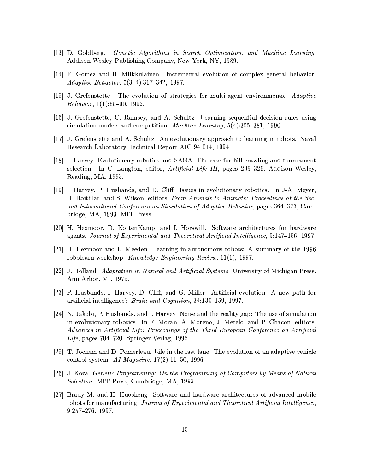- Genetic Algorithms in Search Optimization, and Machine Learning.  $[13]$  D. Goldberg. Addison-Wesley Publishing Company, New York, NY, 1989.
- [14] F. Gomez and R. Miikkulainen. Incremental evolution of complex general behavior.  $Adaptive\ Behavior, 5(3-4):317-342, 1997.$
- [15] J. Grefenstette. The evolution of strategies for multi-agent environments. Adaptive *Behavior*,  $1(1):65-90$ , 1992.
- [16] J. Grefenstette, C. Ramsey, and A. Schultz. Learning sequential decision rules using simulation models and competition. *Machine Learning*,  $5(4):355-381$ , 1990.
- [17] J. Grefenstette and A. Schultz. An evolutionary approach to learning in robots. Naval Research Laboratory Technical Report AIC-94-014, 1994.
- [18] I. Harvey. Evolutionary robotics and SAGA: The case for hill crawling and tournament selection. In C. Langton, editor, *Artificial Life III*, pages 299–326. Addison Wesley, Reading, MA, 1993.
- [19] I. Harvey, P. Husbands, and D. Cliff. Issues in evolutionary robotics. In J-A. Meyer, H. Roitblat, and S. Wilson, editors, From Animals to Animats: Proceedings of the Second International Conference on Simulation of Adaptive Behavior, pages 364–373, Cambridge, MA, 1993. MIT Press.
- [20] H. Hexmoor, D. KortenKamp, and I. Horswill. Software architectures for hardware agents. Journal of Experimental and Theoretical Artificial Intelligence, 9:147-156, 1997.
- [21] H. Hexmoor and L. Meeden. Learning in autonomous robots: A summary of the 1996 robolearn workshop. Knowledge Engineering Review, 11(1), 1997.
- [22] J. Holland. Adaptation in Natural and Artificial Systems. University of Michigan Press, Ann Arbor, MI, 1975.
- [23] P. Husbands, I. Harvey, D. Cliff, and G. Miller. Artificial evolution: A new path for artificial intelligence? *Brain and Cognition*, 34:130-159, 1997.
- [24] N. Jakobi, P. Husbands, and I. Harvey. Noise and the reality gap: The use of simulation in evolutionary robotics. In F. Moran, A. Moreno, J. Merelo, and P. Chacon, editors, Advances in Artificial Life: Proceedings of the Thrid European Conference on Artificial Life, pages  $704-720$ . Springer-Verlag, 1995.
- [25] T. Jochem and D. Pomerleau. Life in the fast lane: The evolution of an adaptive vehicle control system. AI Magazine,  $17(2)$ :11-50, 1996.
- [26] J. Koza, Genetic Programming: On the Programming of Computers by Means of Natural Selection. MIT Press, Cambridge, MA, 1992.
- [27] Brady M. and H. Huosheng. Software and hardware architectures of advanced mobile robots for manufacturing. Journal of Experimental and Theoretical Artificial Intelligence,  $9:257-276, 1997.$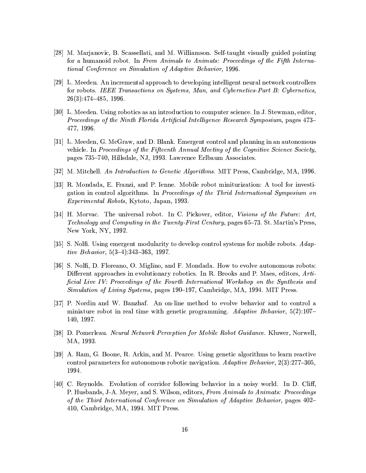- [28] M. Marjanovic, B. Scassellati, and M. Williamson. Self-taught visually guided pointing for a humanoid robot. In From Animals to Animats: Proceedings of the Fifth International Conference on Simulation of Adaptive Behavior, 1996.
- [29] L. Meeden. An incremental approach to developing intelligent neural network controllers for robots. IEEE Transactions on Systems, Man, and Cybernetics-Part B: Cybernetics,  $26(3):474-485, 1996.$
- [30] L. Meeden. Using robotics as an introduction to computer science. In J. Stewman, editor, Proceedings of the Ninth Florida Artificial Intelligence Research Symposium, pages 473– 477, 1996.
- [31] L. Meeden, G. McGraw, and D. Blank. Emergent control and planning in an autonomous vehicle. In Proceedings of the Fifteenth Annual Meeting of the Cognitive Science Society. pages 735-740, Hillsdale, NJ, 1993. Lawrence Erlbaum Associates.
- [32] M. Mitchell. An Introduction to Genetic Algorithms. MIT Press, Cambridge, MA, 1996.
- [33] R. Mondada, E. Franzi, and P. Ienne. Mobile robot miniturization: A tool for investigation in control algorithms. In Proceedings of the Thrid International Symposium on *Experimental Robots*, Kytoto, Japan, 1993.
- [34] H. Morvac. The universal robot. In C. Pickover, editor, *Visions of the Future: Art*, *Technology and Computing in the Twenty-First Century*, pages 65–73. St. Martin's Press, New York, NY, 1992.
- [35] S. Nolfi. Using emergent modularity to develop control systems for mobile robots. Adap*tive Behavior*,  $5(3-4):343-363$ , 1997.
- [36] S. Nolfi, D. Floreano, O. Miglino, and F. Mondada. How to evolve autonomous robots: Different approaches in evolutionary robotics. In R. Brooks and P. Maes, editors, Artificial Live IV: Proceedings of the Fourth International Workshop on the Synthesis and Simulation of Living Systems, pages 190–197, Cambridge, MA, 1994. MIT Press.
- [37] P. Nordin and W. Banzhaf. An on-line method to evolve behavior and to control a miniature robot in real time with genetic programming. Adaptive Behavior,  $5(2)$ :107– 140, 1997.
- [38] D. Pomerleau. Neural Network Perception for Mobile Robot Guidance. Kluwer, Norwell, MA, 1993.
- [39] A. Ram, G. Boone, R. Arkin, and M. Pearce. Using genetic algorithms to learn reactive control parameters for autonomous robotic navigation. Adaptive Behavior,  $2(3):277-305$ , 1994.
- [40] C. Reynolds. Evolution of corridor following behavior in a noisy world. In D. Cliff, P. Husbands, J-A. Meyer, and S. Wilson, editors, From Animals to Animats: Proceedings of the Third International Conference on Simulation of Adaptive Behavior, pages 402– 410, Cambridge, MA, 1994. MIT Press.